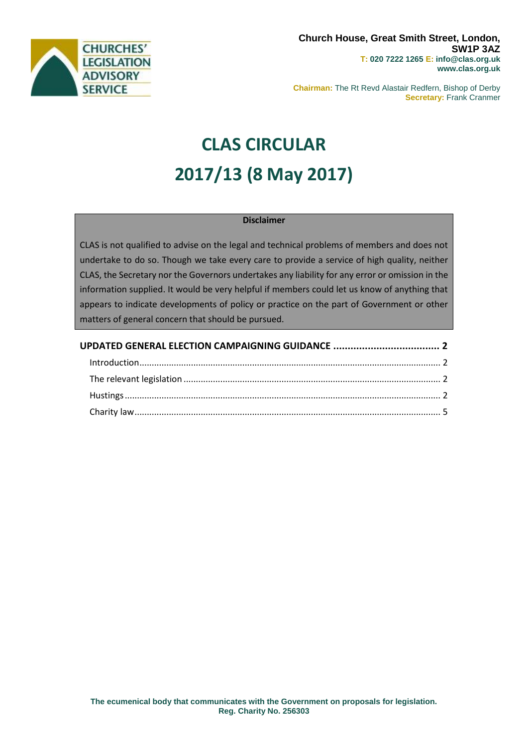

**Chairman:** The Rt Revd Alastair Redfern, Bishop of Derby **Secretary:** Frank Cranmer

# **CLAS CIRCULAR 2017/13 (8 May 2017)**

# **Disclaimer**

CLAS is not qualified to advise on the legal and technical problems of members and does not undertake to do so. Though we take every care to provide a service of high quality, neither CLAS, the Secretary nor the Governors undertakes any liability for any error or omission in the information supplied. It would be very helpful if members could let us know of anything that appears to indicate developments of policy or practice on the part of Government or other matters of general concern that should be pursued.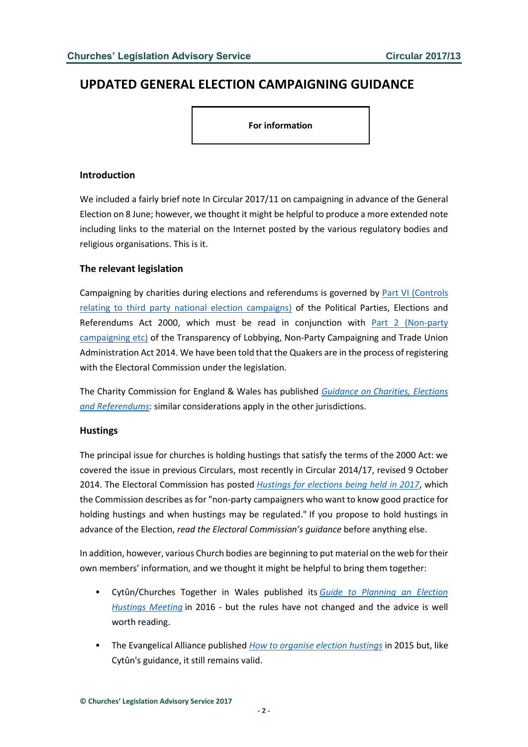# <span id="page-1-0"></span>**UPDATED GENERAL ELECTION CAMPAIGNING GUIDANCE**

**For information**

### <span id="page-1-1"></span>**Introduction**

We included a fairly brief note In Circular 2017/11 on campaigning in advance of the General Election on 8 June; however, we thought it might be helpful to produce a more extended note including links to the material on the Internet posted by the various regulatory bodies and religious organisations. This is it.

# <span id="page-1-2"></span>**The relevant legislation**

Campaigning by charities during elections and referendums is governed by [Part VI \(Controls](http://www.legislation.gov.uk/ukpga/2000/41/part/VI)  [relating to third party national election campaigns\)](http://www.legislation.gov.uk/ukpga/2000/41/part/VI) of the Political Parties, Elections and Referendums Act 2000, which must be read in conjunction with [Part 2 \(Non-party](http://www.legislation.gov.uk/ukpga/2014/4/part/2)  [campaigning etc\)](http://www.legislation.gov.uk/ukpga/2014/4/part/2) of the Transparency of Lobbying, Non-Party Campaigning and Trade Union Administration Act 2014. We have been told that the Quakers are in the process of registering with the Electoral Commission under the legislation.

The Charity Commission for England & Wales has published *Guidance on [Charities, Elections](https://www.gov.uk/government/uploads/system/uploads/attachment_data/file/591355/Charities_Elections_and_Referendums_new.pdf)  [and Referendums](https://www.gov.uk/government/uploads/system/uploads/attachment_data/file/591355/Charities_Elections_and_Referendums_new.pdf)*: similar considerations apply in the other jurisdictions.

#### <span id="page-1-3"></span>**Hustings**

The principal issue for churches is holding hustings that satisfy the terms of the 2000 Act: we covered the issue in previous Circulars, most recently in Circular 2014/17, revised 9 October 2014. The Electoral Commission has posted *[Hustings for elections being held](http://www.electoralcommission.org.uk/__data/assets/pdf_file/0007/105946/sp-hustings-rp-npc-ca.pdf) in 2017*, which the Commission describes as for "non-party campaigners who want to know good practice for holding hustings and when hustings may be regulated." If you propose to hold hustings in advance of the Election, *read the Electoral Commission's guidance* before anything else.

In addition, however, various Church bodies are beginning to put material on the web for their own members' information, and we thought it might be helpful to bring them together:

- Cytûn/Churches Together in Wales published its *Guide to Planning an Election [Hustings Meeting](http://www.cytun.org.uk/etholiad16pdfs/eng-planninghustingsmeeting2016.pdf)* in 2016 - but the rules have not changed and the advice is well worth reading.
- The Evangelical Alliance published *[How to organise election hustings](http://www.christiansinpolitics.org.uk/uploads/PDFs/show%20up/How-to-organise-election-hustings.pdf)* in 2015 but, like Cytûn's guidance, it still remains valid.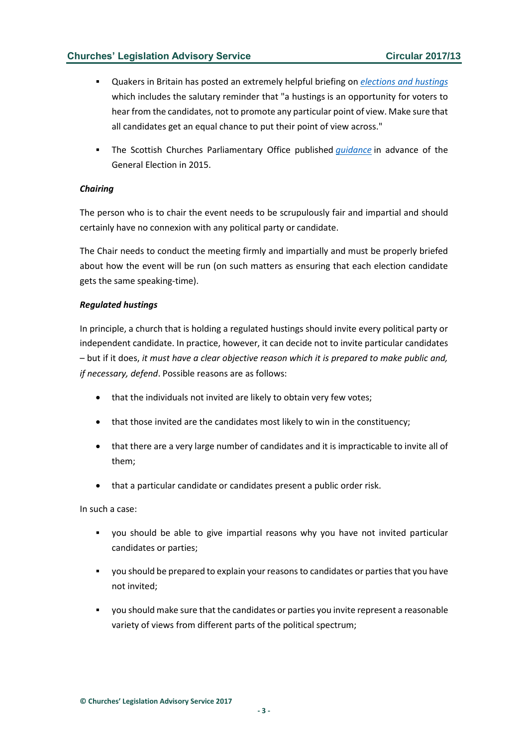- Quakers in Britain has posted an extremely helpful briefing on *[elections and hustings](https://quaker-prod.s3-eu-west-1.amazonaws.com/store/d0d33ea7eb2490ed23dfd49e9cdda701610bef47576fb1fbd025ff7e1d04)* which includes the salutary reminder that "a hustings is an opportunity for voters to hear from the candidates, not to promote any particular point of view. Make sure that all candidates get an equal chance to put their point of view across."
- The Scottish Churches Parliamentary Office published *quidance* in advance of the General Election in 2015.

#### *Chairing*

The person who is to chair the event needs to be scrupulously fair and impartial and should certainly have no connexion with any political party or candidate.

The Chair needs to conduct the meeting firmly and impartially and must be properly briefed about how the event will be run (on such matters as ensuring that each election candidate gets the same speaking-time).

#### *Regulated hustings*

In principle, a church that is holding a regulated hustings should invite every political party or independent candidate. In practice, however, it can decide not to invite particular candidates – but if it does, *it must have a clear objective reason which it is prepared to make public and, if necessary, defend*. Possible reasons are as follows:

- that the individuals not invited are likely to obtain very few votes;
- that those invited are the candidates most likely to win in the constituency;
- that there are a very large number of candidates and it is impracticable to invite all of them;
- that a particular candidate or candidates present a public order risk.

In such a case:

- you should be able to give impartial reasons why you have not invited particular candidates or parties;
- you should be prepared to explain your reasons to candidates or parties that you have not invited;
- you should make sure that the candidates or parties you invite represent a reasonable variety of views from different parts of the political spectrum;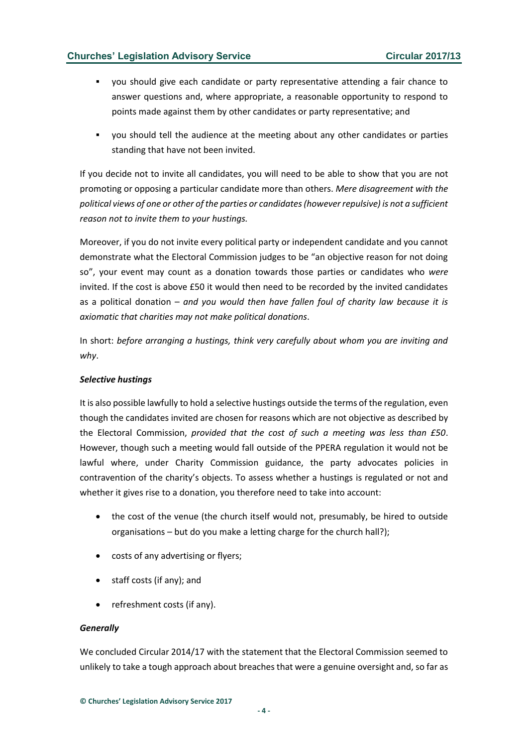- you should give each candidate or party representative attending a fair chance to answer questions and, where appropriate, a reasonable opportunity to respond to points made against them by other candidates or party representative; and
- you should tell the audience at the meeting about any other candidates or parties standing that have not been invited.

If you decide not to invite all candidates, you will need to be able to show that you are not promoting or opposing a particular candidate more than others. *Mere disagreement with the political views of one or other of the parties or candidates (however repulsive) is not a sufficient reason not to invite them to your hustings.* 

Moreover, if you do not invite every political party or independent candidate and you cannot demonstrate what the Electoral Commission judges to be "an objective reason for not doing so", your event may count as a donation towards those parties or candidates who *were*  invited. If the cost is above £50 it would then need to be recorded by the invited candidates as a political donation – *and you would then have fallen foul of charity law because it is axiomatic that charities may not make political donations*.

In short: *before arranging a hustings, think very carefully about whom you are inviting and why*.

#### *Selective hustings*

It is also possible lawfully to hold a selective hustings outside the terms of the regulation, even though the candidates invited are chosen for reasons which are not objective as described by the Electoral Commission, *provided that the cost of such a meeting was less than £50*. However, though such a meeting would fall outside of the PPERA regulation it would not be lawful where, under Charity Commission guidance, the party advocates policies in contravention of the charity's objects. To assess whether a hustings is regulated or not and whether it gives rise to a donation, you therefore need to take into account:

- the cost of the venue (the church itself would not, presumably, be hired to outside organisations – but do you make a letting charge for the church hall?);
- costs of any advertising or flyers;
- staff costs (if any); and
- refreshment costs (if any).

#### *Generally*

We concluded Circular 2014/17 with the statement that the Electoral Commission seemed to unlikely to take a tough approach about breaches that were a genuine oversight and, so far as